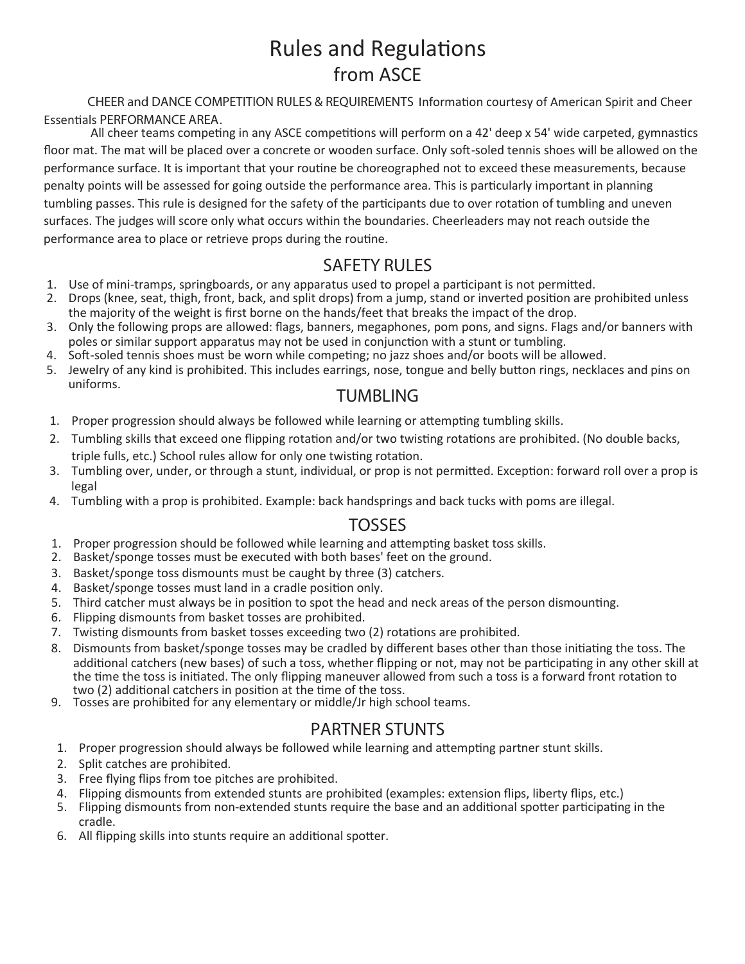# Rules and Regulatons from ASCE

**CHEER and DANCE COMPETITION RULES & REQUIREMENTS** Informaton courtesy of American Spirit and Cheer Essentials PERFORMANCE AREA.<br>All cheer teams competing in any ASCE competitions will perform on a 42' deep x 54' wide carpeted, gymnastics

floor mat. The mat will be placed over a concrete or wooden surface. Only soft-soled tennis shoes will be allowed on the performance surface. It is important that your routne be choreographed not to exceed these measurements, because penalty points will be assessed for going outside the performance area. This is partcularly important in planning tumbling passes. This rule is designed for the safety of the participants due to over rotation of tumbling and uneven surfaces. The judges will score only what occurs within the boundaries. Cheerleaders may not reach outside the performance area to place or retrieve props during the routne.

# **SAFETY RULES**

- 1. Use of mini-tramps, springboards, or any apparatus used to propel a partcipant is not permited.
- 2. Drops (knee, seat, thigh, front, back, and split drops) from a jump, stand or inverted positon are prohibited unless the majority of the weight is first borne on the hands/feet that breaks the impact of the drop.
- 3. Only the following props are allowed: flags, banners, megaphones, pom pons, and signs. Flags and/or banners with poles or similar support apparatus may not be used in conjunction with a stunt or tumbling.
- 4. Soft-soled tennis shoes must be worn while competing; no jazz shoes and/or boots will be allowed.
- uniforms. 5. Jewelry of any kind is prohibited. This includes earrings, nose, tongue and belly buton rings, necklaces and pins on

### **TUMBLING**

- 1. Proper progression should always be followed while learning or attempting tumbling skills.
- 2. Tumbling skills that exceed one flipping rotation and/or two twisting rotations are prohibited. (No double backs, triple fulls, etc.) School rules allow for only one twisting rotation.
- 3. Tumbling over, under, or through a stunt, individual, or prop is not permited. Excepton: forward roll over a prop is legal
- 4. Tumbling with a prop is prohibited. Example: back handsprings and back tucks with poms are illegal.

### **TOSSES**

- 1. Proper progression should be followed while learning and attempting basket toss skills.
- 2. Basket/sponge tosses must be executed with both bases' feet on the ground.
- 3. Basket/sponge toss dismounts must be caught by three (3) catchers.
- 4. Basket/sponge tosses must land in a cradle positon only.
- 5. Third catcher must always be in position to spot the head and neck areas of the person dismounting.
- 6. Flipping dismounts from basket tosses are prohibited.
- 7. Twistng dismounts from basket tosses exceeding two (2) rotatons are prohibited.
- 8. Dismounts from basket/sponge tosses may be cradled by different bases other than those initiating the toss. The additional catchers (new bases) of such a toss, whether flipping or not, may not be participating in any other skill at the tme the toss is initated. The only flipping maneuver allowed from such a toss is a forward front rotaton to two (2) additonal catchers in positon at the tme of the toss.
- 9. Tosses are prohibited for any elementary or middle/Jr high school teams.

#### **PARTNER STUNTS**

- 1. Proper progression should always be followed while learning and attempting partner stunt skills.
- 2. Split catches are prohibited.
- 3. Free flying flips from toe pitches are prohibited.
- 4. Flipping dismounts from extended stunts are prohibited (examples: extension flips, liberty flips, etc.)
- 5. Flipping dismounts from non-extended stunts require the base and an additional spotter participating in the cradle.
- 6. All flipping skills into stunts require an additonal spoter.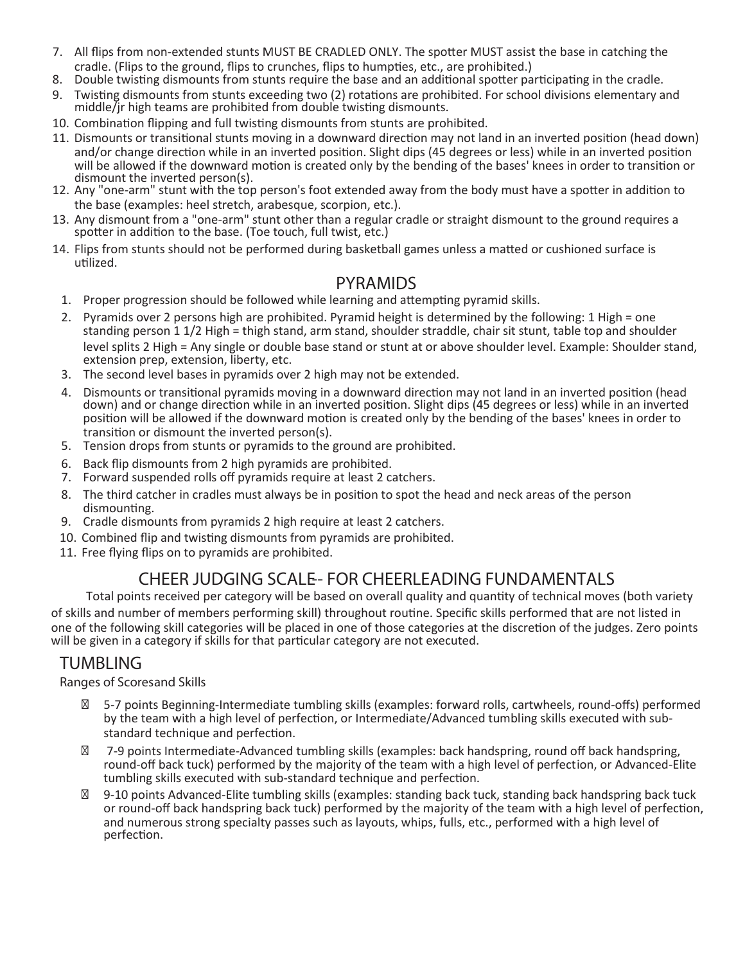- 7. All flips from non-extended stunts MUST BE CRADLED ONLY. The spoter MUST assist the base in catching the cradle. (Flips to the ground, flips to crunches, flips to humpties, etc., are prohibited.)
- 8. Double twisting dismounts from stunts require the base and an additional spotter participating in the cradle.
- 9. Twisting dismounts from stunts exceeding two (2) rotations are prohibited. For school divisions elementary and middle/jr high teams are prohibited from double twistng dismounts.
- 10. Combinaton flipping and full twistng dismounts from stunts are prohibited.
- 11. Dismounts or transitional stunts moving in a downward direction may not land in an inverted position (head down) and/or change direction while in an inverted position. Slight dips (45 degrees or less) while in an inverted position will be allowed if the downward motion is created only by the bending of the bases' knees in order to transition or<br>dismount the inverted person(s).
- 12. Any "one-arm" stunt with the top person's foot extended away from the body must have a spotter in addition to the base (examples: heel stretch, arabesque, scorpion, etc.).
- 13. Any dismount from a "one-arm" stunt other than a regular cradle or straight dismount to the ground requires a spotter in addition to the base. (Toe touch, full twist, etc.)
- 14. Flips from stunts should not be performed during basketball games unless a mated or cushioned surface is utilized.

#### **PYRAMIDS**

- 1. Proper progression should be followed while learning and attempting pyramid skills.
- 2. Pyramids over 2 persons high are prohibited. Pyramid height is determined by the following: 1 High = one standing person 1 1/2 High = thigh stand, arm stand, shoulder straddle, chair sit stunt, table top and shoulder level splits 2 High = Any single or double base stand or stunt at or above shoulder level. Example: Shoulder stand,<br>extension prep, extension, liberty, etc.
- 3. The second level bases in pyramids over 2 high may not be extended.
- 4. Dismounts or transitional pyramids moving in a downward direction may not land in an inverted position (head down) and or change direction while in an inverted position. Slight dips (45 degrees or less) while in an inverted positon will be allowed if the downward moton is created only by the bending of the bases' knees in order to transiton or dismount the inverted person(s).
- 5. Tension drops from stunts or pyramids to the ground are prohibited.
- 6. Back flip dismounts from 2 high pyramids are prohibited.
- 7. Forward suspended rolls off pyramids require at least 2 catchers.
- 8. The third catcher in cradles must always be in positon to spot the head and neck areas of the person dismounting.
- 9. Cradle dismounts from pyramids 2 high require at least 2 catchers.
- 10. Combined flip and twisting dismounts from pyramids are prohibited.
- 11. Free flying flips on to pyramids are prohibited.

### **CHEER JUDGING SCALE-- FOR CHEERLEADING FUNDAMENTALS**

Total points received per category will be based on overall quality and quantty of technical moves (both variety of skills and number of members performing skill) throughout routne. Specific skills performed that are not listed in one of the following skill categories will be placed in one of those categories at the discreton of the judges. Zero points will be given in a category if skills for that particular category are not executed.

### **TUMBLING**

#### *Ranges of Scoresand Skills*

5-7 points Beginning-Intermediate tumbling skills (examples: forward rolls, cartwheels, round-offs) performed by the team with a high level of perfection, or Intermediate/Advanced tumbling skills executed with substandard technique and perfection.

7-9 points Intermediate-Advanced tumbling skills (examples: back handspring, round off back handspring, round-off back tuck) performed by the majority of the team with a high level of perfection, or Advanced-Elite tumbling skills executed with sub-standard technique and perfecton.

9-10 points Advanced-Elite tumbling skills (examples: standing back tuck, standing back handspring back tuck or round-off back handspring back tuck) performed by the majority of the team with a high level of perfection, and numerous strong specialty passes such as layouts, whips, fulls, etc., performed with a high level of perfection.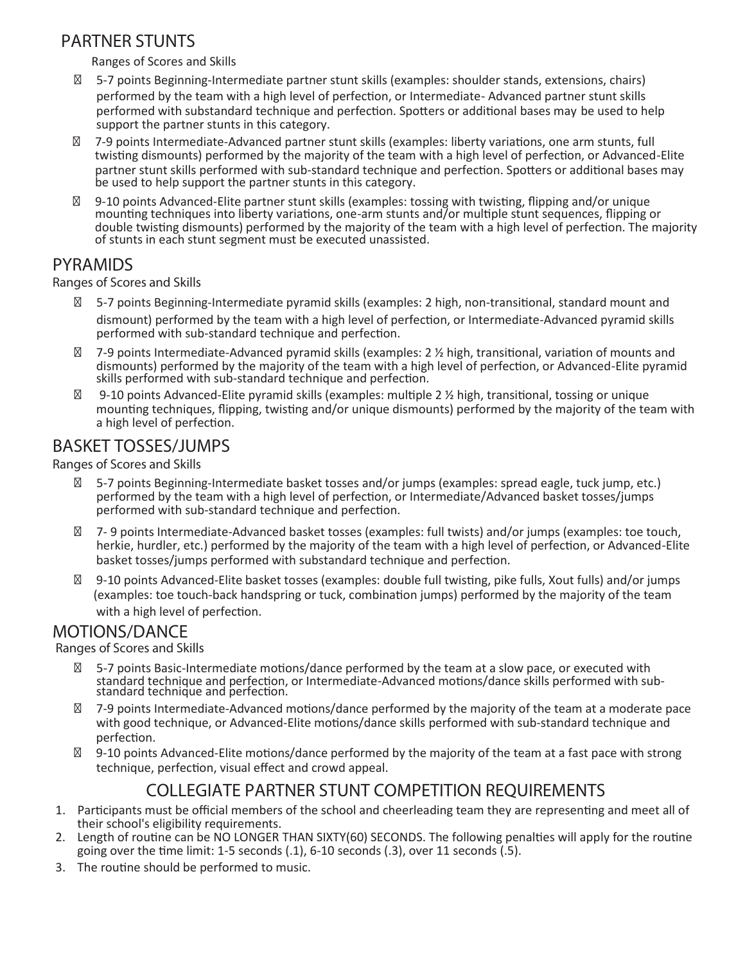### **PARTNER STUNTS**

Ranges of Scores and Skills

5-7 points Beginning-Intermediate partner stunt skills (examples: shoulder stands, extensions, chairs) performed by the team with a high level of perfecton, or Intermediate- Advanced partner stunt skills performed with substandard technique and perfecton. Spoters or additonal bases may be used to help support the partner stunts in this category.

7-9 points Intermediate-Advanced partner stunt skills (examples: liberty variatons, one arm stunts, full twistng dismounts) performed by the majority of the team with a high level of perfecton, or Advanced-Elite partner stunt skills performed with sub-standard technique and perfection. Spotters or additional bases may be used to help support the partner stunts in this category.

9-10 points Advanced-Elite partner stunt skills (examples: tossing with twisting, flipping and/or unique mounting techniques into liberty variations, one-arm stunts and/or multiple stunt sequences, flipping or double twistng dismounts) performed by the majority of the team with a high level of perfecton. The majority of stunts in each stunt segment must be executed unassisted.

#### **PYRAMIDS**

*Ranges of Scores and Skills*

5-7 points Beginning-Intermediate pyramid skills (examples: 2 high, non-transitonal, standard mount and

dismount) performed by the team with a high level of perfection, or Intermediate-Advanced pyramid skills performed with sub-standard technique and perfection.

7-9 points Intermediate-Advanced pyramid skills (examples: 2 ½ high, transitonal, variaton of mounts and dismounts) performed by the majority of the team with a high level of perfecton, or Advanced-Elite pyramid skills performed with sub-standard technique and perfecton.

9-10 points Advanced-Elite pyramid skills (examples: multiple 2 % high, transitional, tossing or unique mountng techniques, flipping, twistng and/or unique dismounts) performed by the majority of the team with a high level of perfection.

### **BASKET TOSSES/JUMPS**

*Ranges of Scores and Skills* 

5-7 points Beginning-Intermediate basket tosses and/or jumps (examples: spread eagle, tuck jump, etc.) performed by the team with a high level of perfection, or Intermediate/Advanced basket tosses/jumps performed with sub-standard technique and perfection.

7- 9 points Intermediate-Advanced basket tosses (examples: full twists) and/or jumps (examples: toe touch, herkie, hurdler, etc.) performed by the majority of the team with a high level of perfection, or Advanced-Elite basket tosses/jumps performed with substandard technique and perfecton.

9-10 points Advanced-Elite basket tosses (examples: double full twistng, pike fulls, Xout fulls) and/or jumps (examples: toe touch-back handspring or tuck, combinaton jumps) performed by the majority of the team

with a high level of perfection.

#### **MOTIONS/DANCE**

*Ranges of Scores and Skills*

5-7 points Basic-Intermediate motons/dance performed by the team at a slow pace, or executed with standard technique and perfection, or Intermediate-Advanced motions/dance skills performed with sub-<br>standard technique and perfection.

7-9 points Intermediate-Advanced motons/dance performed by the majority of the team at a moderate pace with good technique, or Advanced-Elite motons/dance skills performed with sub-standard technique and perfection.

9-10 points Advanced-Elite motons/dance performed by the majority of the team at a fast pace with strong technique, perfection, visual effect and crowd appeal.

### **COLLEGIATE PARTNER STUNT COMPETITION REQUIREMENTS**

- 1. Participants must be official members of the school and cheerleading team they are representing and meet all of their school's eligibility requirements.
- 2. Length of routine can be NO LONGER THAN SIXTY(60) SECONDS. The following penalties will apply for the routine going over the time limit:  $1-5$  seconds  $(.1)$ ,  $6-10$  seconds  $(.3)$ , over  $11$  seconds  $(.5)$ .
- 3. The routne should be performed to music.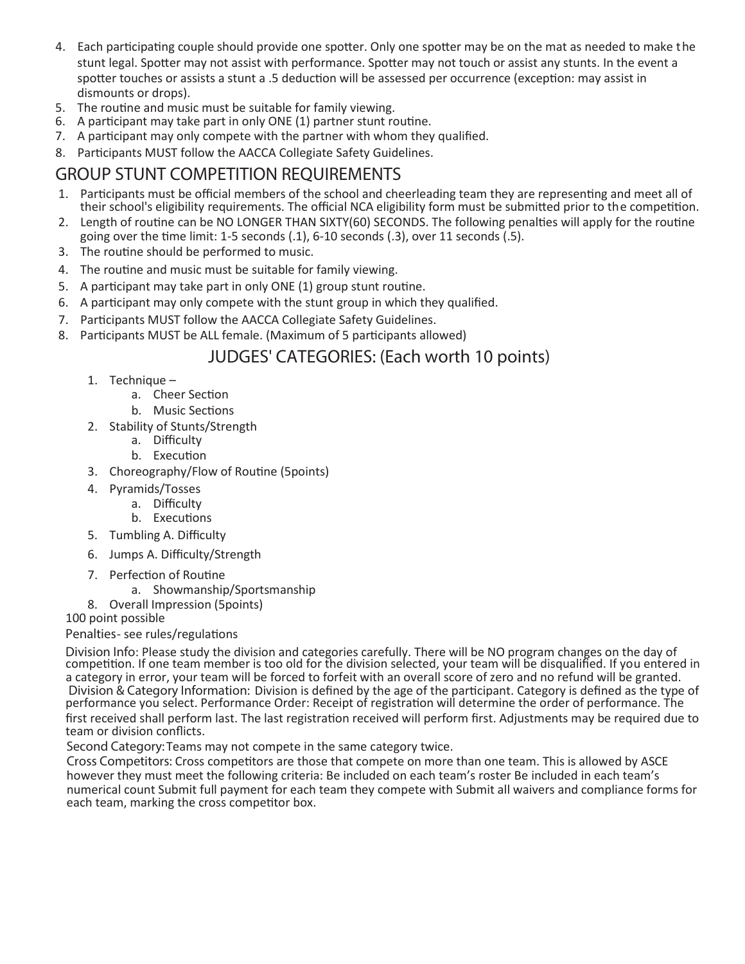- 4. Each participating couple should provide one spotter. Only one spotter may be on the mat as needed to make the stunt legal. Spotter may not assist with performance. Spotter may not touch or assist any stunts. In the event a spotter touches or assists a stunt a .5 deduction will be assessed per occurrence (exception: may assist in dismounts or drops).
- 5. The routine and music must be suitable for family viewing.
- 6. A participant may take part in only ONE (1) partner stunt routine.
- 7. A participant may only compete with the partner with whom they qualified.
- 8. Participants MUST follow the AACCA Collegiate Safety Guidelines.

### **GROUP STUNT COMPETITION REQUIREMENTS**

- 1. Participants must be official members of the school and cheerleading team they are representing and meet all of their school's eligibility requirements. The official NCA eligibility form must be submitted prior to the competition.
- 2. Length of routine can be NO LONGER THAN SIXTY(60) SECONDS. The following penalties will apply for the routine going over the time limit:  $1-5$  seconds  $(.1)$ ,  $6-10$  seconds  $(.3)$ , over  $11$  seconds  $(.5)$ .
- 3. The routine should be performed to music.
- 4. The routne and music must be suitable for family viewing.
- 5. A participant may take part in only ONE (1) group stunt routine.
- 6. A partcipant may only compete with the stunt group in which they qualified.
- 7. Participants MUST follow the AACCA Collegiate Safety Guidelines.
- 8. Participants MUST be ALL female. (Maximum of 5 participants allowed)

### **JUDGES' CATEGORIES: (Each worth 10 points)**

- 1. Technique
	- a. Cheer Section
	- b. Music Sections
- 2. Stability of Stunts/Strength
	- a. Difficulty
	- b. Execution
- 3. Choreography/Flow of Routne (5points)
- 4. Pyramids/Tosses
	- a. Difficulty
	- b. Executions
- 5. Tumbling A. Difficulty
- 6. Jumps A. Difficulty/Strength
- 7. Perfection of Routine
	- a. Showmanship/Sportsmanship
- 8. Overall Impression (5points)

#### 100 point possible

Penalties- see rules/regulations

Division Info: Please study the division and categories carefully. There will be NO program changes on the day of competition. If one team member is too old for the division selected, your team will be disqualified. If you entered in a category in error, your team will be forced to forfeit with an overall score of zero and no refund will be granted. **Division & Category Information:** Division is defined by the age of the partcipant. Category is defined as the type of performance you select. Performance Order: Receipt of registration will determine the order of performance. The first received shall perform last. The last registration received will perform first. Adjustments may be required due to team or division conflicts.

**Second Category:**Teams may not compete in the same category twice.

Cross Competitors: Cross competitors are those that compete on more than one team. This is allowed by ASCE however they must meet the following criteria: Be included on each team's roster Be included in each team's numerical count Submit full payment for each team they compete with Submit all waivers and compliance forms for each team, marking the cross competitor box.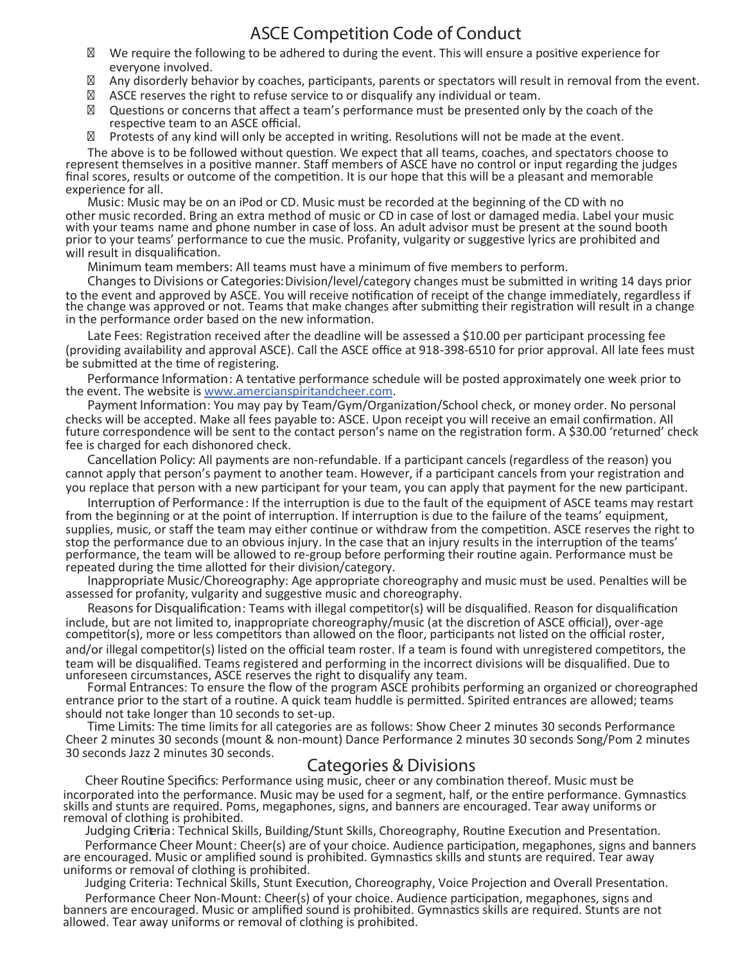# **ASCE Competition Code of Conduct**

We require the following to be adhered to during the event. This will ensure a positive experience for everyone involved.

Any disorderly behavior by coaches, participants, parents or spectators will result in removal from the event. ASCE reserves the right to refuse service to or disqualify any individual or team.

Questions or concerns that affect a team's performance must be presented only by the coach of the respective team to an ASCE official.

Protests of any kind will only be accepted in writing. Resolutions will not be made at the event.

The above is to be followed without queston. We expect that all teams, coaches, and spectators choose to represent themselves in a positve manner. Staff members of ASCE have no control or input regarding the judges final scores, results or outcome of the competition. It is our hope that this will be a pleasant and memorable<br>experience for all.

experience for all. **Music**: Music may be on an iPod or CD. Music must be recorded at the beginning of the CD with no other music recorded. Bring an extra method of music or CD in case of lost or damaged media. Label your music with your teams name and phone number in case of loss. An adult advisor must be present at the sound booth prior to your teams' performance to cue the music. Profanity, vulgarity or suggestive lyrics are prohibited and will result in disqualification.

**Minimum team members**: All teams must have a minimum of five members to perform.

**Changes to Divisions or Categories:**Division/level/category changes must be submited in writng 14 days prior to the event and approved by ASCE. You will receive notification of receipt of the change immediately, regardless if the change was approved or not. Teams that make changes after submitting their registration will result in a change in the performance order based on the new information.

Late Fees: Registration received after the deadline will be assessed a \$10.00 per participant processing fee (providing availability and approval ASCE). Call the ASCE office at 918-398-6510 for prior approval. All late fees must be submitted at the time of registering.

**Performance Information**: A tentatve performance schedule will be posted approximately one week prior to the event. The website is www.amercianspiritandcheer.com.

**Payment Information**: You may pay by Team/Gym/Organizaton/School check, or money order. No personal checks will be accepted. Make all fees payable to: ASCE. Upon receipt you will receive an email confirmaton. All future correspondence will be sent to the contact person's name on the registraton form. A \$30.00 'returned' check fee is charged for each dishonored check.

**Cancellation Policy**: All payments are non-refundable. If a partcipant cancels (regardless of the reason) you cannot apply that person's payment to another team. However, if a partcipant cancels from your registraton and you replace that person with a new partcipant for your team, you can apply that payment for the new partcipant.

**Interruption of Performance**: If the interrupton is due to the fault of the equipment of ASCE teams may restart from the beginning or at the point of interruption. If interruption is due to the failure of the teams' equipment, supplies, music, or staff the team may either continue or withdraw from the competition. ASCE reserves the right to stop the performance due to an obvious injury. In the case that an injury results in the interrupton of the teams' performance, the team will be allowed to re-group before performing their routne again. Performance must be repeated during the time allotted for their division/category.

**Inappropriate Music/Choreography**: Age appropriate choreography and music must be used. Penaltes will be assessed for profanity, vulgarity and suggestve music and choreography.

**Reasons for Disqualifcation**: Teams with illegal compettor(s) will be disqualified. Reason for disqualificaton include, but are not limited to, inappropriate choreography/music (at the discretion of ASCE official), over-age competitor(s), more or less competitors than allowed on the floor, participants not listed on the official roster, and/or illegal competitor(s) listed on the official team roster. If a team is found with unregistered competitors, the team will be disqualified. Teams registered and performing in the incorrect divisions will be disqualified. Due to

Formal Entrances: To ensure the flow of the program ASCE prohibits performing an organized or choreographed entrance prior to the start of a routne. A quick team huddle is permited. Spirited entrances are allowed; teams should not take longer than <sup>10</sup> seconds to set-up. **Time Limits**: The <sup>t</sup>me limits for all categories are as follows: Show Cheer <sup>2</sup> minutes <sup>30</sup> seconds Performance

Cheer 2 minutes 30 seconds (mount & non-mount) Dance Performance 2 minutes 30 seconds Song/Pom 2 minutes 30 seconds Jazz 2 minutes 30 seconds.

#### **Categories & Divisions**

**Cheer Routine Specifcs**: Performance using music, cheer or any combinaton thereof. Music must be incorporated into the performance. Music may be used for a segment, half, or the entire performance. Gymnastics skills and stunts are required. Poms, megaphones, signs, and banners are encouraged. Tear away uniforms or removal of clothing is prohibited.

**Judging Criteria**: Technical Skills, Building/Stunt Skills, Choreography, Routne Executon and Presentaton.

Performance Cheer Mount: Cheer(s) are of your choice. Audience participation, megaphones, signs and banners are encouraged. Music or amplified sound is prohibited. Gymnastics skills and stunts are required. Tear away<br>uniforms or removal of clothing is prohibited.

Judging Criteria: Technical Skills, Stunt Execution, Choreography, Voice Projection and Overall Presentation. Performance Cheer Non-Mount: Cheer(s) of your choice. Audience participation, megaphones, signs and banners are encouraged. Music or amplified sound is prohibited. Gymnastics skills are required. Stunts are not allowed. Tear away uniforms or removal of clothing is prohibited.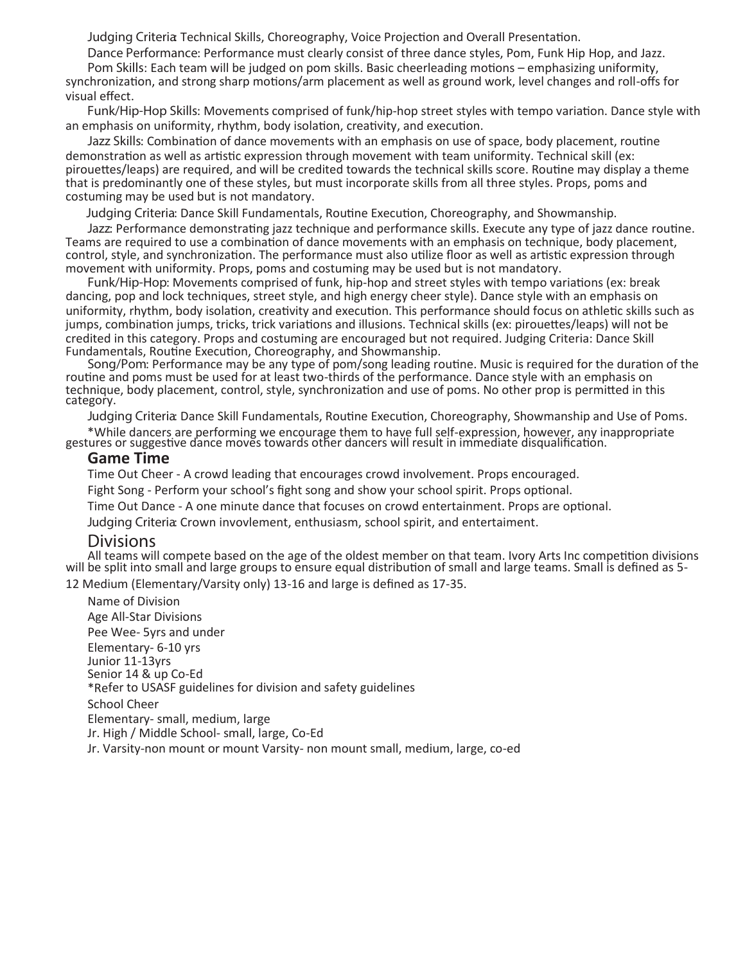**Judging Criteria**: Technical Skills, Choreography, Voice Projecton and Overall Presentaton.

**Dance Performance**: Performance must clearly consist of three dance styles, Pom, Funk Hip Hop, and Jazz. Pom Skills: Each team will be judged on pom skills. Basic cheerleading motions – emphasizing uniformity, synchronization, and strong sharp motions/arm placement as well as ground work, level changes and roll-offs for visual effect.

Funk/Hip-Hop Skills: Movements comprised of funk/hip-hop street styles with tempo variation. Dance style with an emphasis on uniformity, rhythm, body isolation, creativity, and execution.

Jazz Skills: Combination of dance movements with an emphasis on use of space, body placement, routine demonstration as well as artistic expression through movement with team uniformity. Technical skill (ex: pirouetes/leaps) are required, and will be credited towards the technical skills score. Routne may display a theme that is predominantly one of these styles, but must incorporate skills from all three styles. Props, poms and costuming may be used but is not mandatory.

**Judging Criteria**: Dance Skill Fundamentals, Routne Executon, Choreography, and Showmanship.

**Jazz**: Performance demonstratng jazz technique and performance skills. Execute any type of jazz dance routne. Teams are required to use a combination of dance movements with an emphasis on technique, body placement, control, style, and synchronization. The performance must also utilize floor as well as artistic expression through movement with uniformity. Props, poms and costuming may be used but is not mandatory.

**Funk/Hip-Hop**: Movements comprised of funk, hip-hop and street styles with tempo variatons (ex: break dancing, pop and lock techniques, street style, and high energy cheer style). Dance style with an emphasis on uniformity, rhythm, body isolation, creativity and execution. This performance should focus on athletic skills such as jumps, combination jumps, tricks, trick variations and illusions. Technical skills (ex: pirouettes/leaps) will not be credited in this category. Props and costuming are encouraged but not required. Judging Criteria: Dance Skill

Song/Pom: Performance may be any type of pom/song leading routine. Music is required for the duration of the routne and poms must be used for at least two-thirds of the performance. Dance style with an emphasis on technique, body placement, control, style, synchronizaton and use of poms. No other prop is permited in this category.

**Judging Criteria**: Dance Skill Fundamentals, Routne Executon, Choreography, Showmanship and Use of Poms. \*While dancers are performing we encourage them to have full self-expression, however, any inappropriate gestures or suggestive dance moves towards other dancers will result in immediate disqualification.

#### **Game Time**

Time Out Cheer - A crowd leading that encourages crowd involvement. Props encouraged.

Fight Song - Perform your school's fight song and show your school spirit. Props optional.

Time Out Dance - A one minute dance that focuses on crowd entertainment. Props are optional.

**Judging Criteria**: Crown invovlement, enthusiasm, school spirit, and entertaiment.

#### **Divisions**

All teams will compete based on the age of the oldest member on that team. Ivory Arts Inc competition divisions will be split into small and large groups to ensure equal distribution of small and large teams. Small is defined as 5-

12 Medium (Elementary/Varsity only) 13-16 and large is defined as 17-35.

Name of Division Age All-Star Divisions Pee Wee- 5yrs and under Elementary- 6-10 yrs Junior 11-13yrs Senior 14 & up Co-Ed \*Refer to USASF guidelines for division and safety guidelines School Cheer Elementary- small, medium, large Jr. High / Middle School- small, large, Co-Ed Jr. Varsity-non mount or mount Varsity- non mount small, medium, large, co-ed